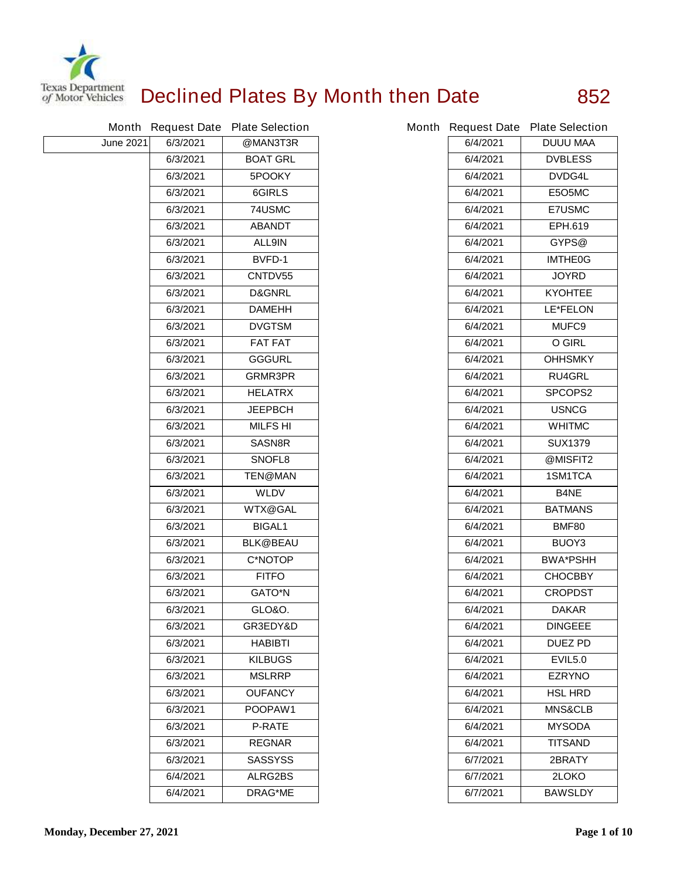

## **Declined Plates By Month then Date 852**

|                  |          | Month Request Date Plate Selection |          | Month Request Date Plate Selection |
|------------------|----------|------------------------------------|----------|------------------------------------|
| <b>June 2021</b> | 6/3/2021 | @MAN3T3R                           | 6/4/2021 | <b>DUUU MAA</b>                    |
|                  | 6/3/2021 | <b>BOAT GRL</b>                    | 6/4/2021 | <b>DVBLESS</b>                     |
|                  | 6/3/2021 | 5POOKY                             | 6/4/2021 | DVDG4L                             |
|                  | 6/3/2021 | 6GIRLS                             | 6/4/2021 | <b>E5O5MC</b>                      |
|                  | 6/3/2021 | 74USMC                             | 6/4/2021 | <b>E7USMC</b>                      |
|                  | 6/3/2021 | <b>ABANDT</b>                      | 6/4/2021 | <b>EPH.619</b>                     |
|                  | 6/3/2021 | <b>ALL9IN</b>                      | 6/4/2021 | GYPS@                              |
|                  | 6/3/2021 | <b>BVFD-1</b>                      | 6/4/2021 | <b>IMTHE0G</b>                     |
|                  | 6/3/2021 | CNTDV55                            | 6/4/2021 | <b>JOYRD</b>                       |
|                  | 6/3/2021 | <b>D&amp;GNRL</b>                  | 6/4/2021 | <b>KYOHTEE</b>                     |
|                  | 6/3/2021 | <b>DAMEHH</b>                      | 6/4/2021 | <b>LE*FELON</b>                    |
|                  | 6/3/2021 | <b>DVGTSM</b>                      | 6/4/2021 | <b>MUFC9</b>                       |
|                  | 6/3/2021 | <b>FAT FAT</b>                     | 6/4/2021 | <b>O GIRL</b>                      |
|                  | 6/3/2021 | <b>GGGURL</b>                      | 6/4/2021 | <b>OHHSMKY</b>                     |
|                  | 6/3/2021 | <b>GRMR3PR</b>                     | 6/4/2021 | <b>RU4GRL</b>                      |
|                  | 6/3/2021 | <b>HELATRX</b>                     | 6/4/2021 | <b>SPCOPS2</b>                     |
|                  | 6/3/2021 | <b>JEEPBCH</b>                     | 6/4/2021 | <b>USNCG</b>                       |
|                  | 6/3/2021 | <b>MILFS HI</b>                    | 6/4/2021 | <b>WHITMC</b>                      |
|                  | 6/3/2021 | <b>SASN8R</b>                      | 6/4/2021 | <b>SUX1379</b>                     |
|                  | 6/3/2021 | SNOFL8                             | 6/4/2021 | @MISFIT2                           |
|                  | 6/3/2021 | <b>TEN@MAN</b>                     | 6/4/2021 | 1SM1TCA                            |
|                  | 6/3/2021 | <b>WLDV</b>                        | 6/4/2021 | <b>B4NE</b>                        |
|                  | 6/3/2021 | <b>WTX@GAL</b>                     | 6/4/2021 | <b>BATMANS</b>                     |
|                  | 6/3/2021 | <b>BIGAL1</b>                      | 6/4/2021 | <b>BMF80</b>                       |
|                  | 6/3/2021 | <b>BLK@BEAU</b>                    | 6/4/2021 | BUOY3                              |
|                  | 6/3/2021 | <b>C*NOTOP</b>                     | 6/4/2021 | <b>BWA*PSHH</b>                    |
|                  | 6/3/2021 | <b>FITFO</b>                       | 6/4/2021 | <b>CHOCBBY</b>                     |
|                  | 6/3/2021 | <b>GATO*N</b>                      | 6/4/2021 | <b>CROPDST</b>                     |
|                  | 6/3/2021 | <b>GLO&amp;O.</b>                  | 6/4/2021 | <b>DAKAR</b>                       |
|                  | 6/3/2021 | GR3EDY&D                           | 6/4/2021 | <b>DINGEEE</b>                     |
|                  | 6/3/2021 | <b>HABIBTI</b>                     | 6/4/2021 | <b>DUEZ PD</b>                     |
|                  | 6/3/2021 | <b>KILBUGS</b>                     | 6/4/2021 | <b>EVIL5.0</b>                     |
|                  | 6/3/2021 | <b>MSLRRP</b>                      | 6/4/2021 | <b>EZRYNO</b>                      |
|                  | 6/3/2021 | <b>OUFANCY</b>                     | 6/4/2021 | <b>HSL HRD</b>                     |
|                  | 6/3/2021 | POOPAW1                            | 6/4/2021 | <b>MNS&amp;CLB</b>                 |
|                  | 6/3/2021 | <b>P-RATE</b>                      | 6/4/2021 | <b>MYSODA</b>                      |
|                  | 6/3/2021 | <b>REGNAR</b>                      | 6/4/2021 | <b>TITSAND</b>                     |
|                  | 6/3/2021 | <b>SASSYSS</b>                     | 6/7/2021 | 2BRATY                             |
|                  | 6/4/2021 | <b>ALRG2BS</b>                     | 6/7/2021 | 2LOKO                              |
|                  | 6/4/2021 | <b>DRAG*ME</b>                     | 6/7/2021 | <b>BAWSLDY</b>                     |

|          | th Request Date Plate Selection |
|----------|---------------------------------|
| 6/4/2021 | <b>DUUU MAA</b>                 |
| 6/4/2021 | <b>DVBLESS</b>                  |
| 6/4/2021 | <b>DVDG4L</b>                   |
| 6/4/2021 | E5O5MC                          |
| 6/4/2021 | <b>E7USMC</b>                   |
| 6/4/2021 | <b>EPH.619</b>                  |
| 6/4/2021 | GYPS@                           |
| 6/4/2021 | <b>IMTHE0G</b>                  |
| 6/4/2021 | <b>JOYRD</b>                    |
| 6/4/2021 | <b>KYOHTEE</b>                  |
| 6/4/2021 | <b>LE*FELON</b>                 |
| 6/4/2021 | <b>MUFC9</b>                    |
| 6/4/2021 | O GIRL                          |
| 6/4/2021 | <b>OHHSMKY</b>                  |
| 6/4/2021 | <b>RU4GRL</b>                   |
| 6/4/2021 | <b>SPCOPS2</b>                  |
| 6/4/2021 | <b>USNCG</b>                    |
| 6/4/2021 | <b>WHITMC</b>                   |
| 6/4/2021 | <b>SUX1379</b>                  |
| 6/4/2021 | @MISFIT2                        |
| 6/4/2021 | <b>1SM1TCA</b>                  |
| 6/4/2021 | B4NE                            |
| 6/4/2021 | <b>BATMANS</b>                  |
| 6/4/2021 | <b>BMF80</b>                    |
| 6/4/2021 | BUOY3                           |
| 6/4/2021 | <b>BWA*PSHH</b>                 |
| 6/4/2021 | <b>CHOCBBY</b>                  |
| 6/4/2021 | <b>CROPDST</b>                  |
| 6/4/2021 | <b>DAKAR</b>                    |
| 6/4/2021 | <b>DINGEEE</b>                  |
| 6/4/2021 | <b>DUEZ PD</b>                  |
| 6/4/2021 | <b>EVIL5.0</b>                  |
| 6/4/2021 | <b>EZRYNO</b>                   |
| 6/4/2021 | <b>HSL HRD</b>                  |
| 6/4/2021 | <b>MNS&amp;CLB</b>              |
| 6/4/2021 | <b>MYSODA</b>                   |
| 6/4/2021 | <b>TITSAND</b>                  |
| 6/7/2021 | <b>2BRATY</b>                   |
| 6/7/2021 | <b>2LOKO</b>                    |
| 6/7/2021 | <b>BAWSLDY</b>                  |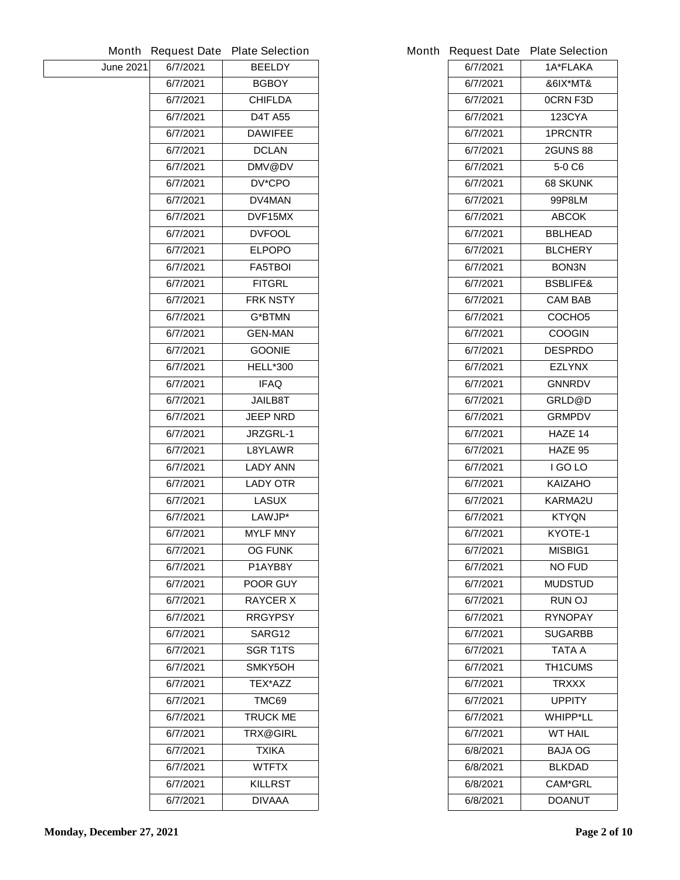|                  |          | Month Request Date Plate Selection |          | Month Request Date Plate Selection |
|------------------|----------|------------------------------------|----------|------------------------------------|
| <b>June 2021</b> | 6/7/2021 | <b>BEELDY</b>                      | 6/7/2021 | 1A*FLAKA                           |
|                  | 6/7/2021 | <b>BGBOY</b>                       | 6/7/2021 | &6IX*MT&                           |
|                  | 6/7/2021 | <b>CHIFLDA</b>                     | 6/7/2021 | <b>OCRN F3D</b>                    |
|                  | 6/7/2021 | <b>D4T A55</b>                     | 6/7/2021 | <b>123CYA</b>                      |
|                  | 6/7/2021 | <b>DAWIFEE</b>                     | 6/7/2021 | <b>1PRCNTR</b>                     |
|                  | 6/7/2021 | <b>DCLAN</b>                       | 6/7/2021 | <b>2GUNS 88</b>                    |
|                  | 6/7/2021 | DMV@DV                             | 6/7/2021 | 5-0 C6                             |
|                  | 6/7/2021 | <b>DV*CPO</b>                      | 6/7/2021 | <b>68 SKUNK</b>                    |
|                  | 6/7/2021 | DV4MAN                             | 6/7/2021 | <b>99P8LM</b>                      |
|                  | 6/7/2021 | DVF15MX                            | 6/7/2021 | <b>ABCOK</b>                       |
|                  | 6/7/2021 | <b>DVFOOL</b>                      | 6/7/2021 | <b>BBLHEAD</b>                     |
|                  | 6/7/2021 | <b>ELPOPO</b>                      | 6/7/2021 | <b>BLCHERY</b>                     |
|                  | 6/7/2021 | <b>FA5TBOI</b>                     | 6/7/2021 | BON3N                              |
|                  | 6/7/2021 | <b>FITGRL</b>                      | 6/7/2021 | <b>BSBLIFE&amp;</b>                |
|                  | 6/7/2021 | <b>FRK NSTY</b>                    | 6/7/2021 | <b>CAM BAB</b>                     |
|                  | 6/7/2021 | <b>G*BTMN</b>                      | 6/7/2021 | COCHO <sub>5</sub>                 |
|                  | 6/7/2021 | <b>GEN-MAN</b>                     | 6/7/2021 | <b>COOGIN</b>                      |
|                  | 6/7/2021 | <b>GOONIE</b>                      | 6/7/2021 | <b>DESPRDO</b>                     |
|                  | 6/7/2021 | <b>HELL*300</b>                    | 6/7/2021 | <b>EZLYNX</b>                      |
|                  | 6/7/2021 | <b>IFAQ</b>                        | 6/7/2021 | <b>GNNRDV</b>                      |
|                  | 6/7/2021 | <b>JAILB8T</b>                     | 6/7/2021 | GRLD@D                             |
|                  | 6/7/2021 | <b>JEEP NRD</b>                    | 6/7/2021 | <b>GRMPDV</b>                      |
|                  | 6/7/2021 | JRZGRL-1                           | 6/7/2021 | HAZE 14                            |
|                  | 6/7/2021 | <b>L8YLAWR</b>                     | 6/7/2021 | HAZE 95                            |
|                  | 6/7/2021 | <b>LADY ANN</b>                    | 6/7/2021 | I GO LO                            |
|                  | 6/7/2021 | <b>LADY OTR</b>                    | 6/7/2021 | <b>KAIZAHO</b>                     |
|                  | 6/7/2021 | <b>LASUX</b>                       | 6/7/2021 | <b>KARMA2U</b>                     |
|                  | 6/7/2021 | LAWJP*                             | 6/7/2021 | <b>KTYQN</b>                       |
|                  | 6/7/2021 | <b>MYLF MNY</b>                    | 6/7/2021 | KYOTE-1                            |
|                  | 6/7/2021 | <b>OG FUNK</b>                     | 6/7/2021 | MISBIG1                            |
|                  | 6/7/2021 | P1AYB8Y                            | 6/7/2021 | <b>NO FUD</b>                      |
|                  | 6/7/2021 | <b>POOR GUY</b>                    | 6/7/2021 | <b>MUDSTUD</b>                     |
|                  | 6/7/2021 | <b>RAYCER X</b>                    | 6/7/2021 | <b>RUN OJ</b>                      |
|                  | 6/7/2021 | <b>RRGYPSY</b>                     | 6/7/2021 | <b>RYNOPAY</b>                     |
|                  | 6/7/2021 | SARG12                             | 6/7/2021 | <b>SUGARBB</b>                     |
|                  | 6/7/2021 | <b>SGR T1TS</b>                    | 6/7/2021 | TATA A                             |
|                  | 6/7/2021 | SMKY5OH                            | 6/7/2021 | <b>TH1CUMS</b>                     |
|                  | 6/7/2021 | TEX*AZZ                            | 6/7/2021 | <b>TRXXX</b>                       |
|                  | 6/7/2021 | TMC69                              | 6/7/2021 | <b>UPPITY</b>                      |
|                  | 6/7/2021 | <b>TRUCK ME</b>                    | 6/7/2021 | <b>WHIPP*LL</b>                    |
|                  | 6/7/2021 | <b>TRX@GIRL</b>                    | 6/7/2021 | <b>WT HAIL</b>                     |
|                  | 6/7/2021 | <b>TXIKA</b>                       | 6/8/2021 | <b>BAJA OG</b>                     |
|                  | 6/7/2021 | <b>WTFTX</b>                       | 6/8/2021 | <b>BLKDAD</b>                      |
|                  | 6/7/2021 | <b>KILLRST</b>                     | 6/8/2021 | <b>CAM*GRL</b>                     |
|                  | 6/7/2021 | <b>DIVAAA</b>                      | 6/8/2021 | <b>DOANUT</b>                      |
|                  |          |                                    |          |                                    |

|          | <b>Request Date Plate Selection</b> |
|----------|-------------------------------------|
| 6/7/2021 | <b>1A*FLAKA</b>                     |
| 6/7/2021 | &6IX*MT&                            |
| 6/7/2021 | OCRN F3D                            |
| 6/7/2021 | <b>123CYA</b>                       |
| 6/7/2021 | <b>1PRCNTR</b>                      |
| 6/7/2021 | <b>2GUNS 88</b>                     |
| 6/7/2021 | 5-0 C6                              |
| 6/7/2021 | <b>68 SKUNK</b>                     |
| 6/7/2021 | 99P8LM                              |
| 6/7/2021 | <b>ABCOK</b>                        |
| 6/7/2021 | <b>BBLHEAD</b>                      |
| 6/7/2021 | <b>BLCHERY</b>                      |
| 6/7/2021 | <b>BON3N</b>                        |
| 6/7/2021 | <b>BSBLIFE&amp;</b>                 |
| 6/7/2021 | <b>CAM BAB</b>                      |
| 6/7/2021 | <b>COCHO5</b>                       |
| 6/7/2021 | <b>COOGIN</b>                       |
| 6/7/2021 | <b>DESPRDO</b>                      |
| 6/7/2021 | <b>EZLYNX</b>                       |
| 6/7/2021 | <b>GNNRDV</b>                       |
| 6/7/2021 | <b>GRLD@D</b>                       |
| 6/7/2021 | <b>GRMPDV</b>                       |
| 6/7/2021 | <b>HAZE 14</b>                      |
| 6/7/2021 | <b>HAZE 95</b>                      |
| 6/7/2021 | I GO LO                             |
| 6/7/2021 | <b>KAIZAHO</b>                      |
| 6/7/2021 | <b>KARMA2U</b>                      |
| 6/7/2021 | <b>KTYQN</b>                        |
| 6/7/2021 | KYOTE-1                             |
| 6/7/2021 | <b>MISBIG1</b>                      |
| 6/7/2021 | NO FUD                              |
| 6/7/2021 | <b>MUDSTUD</b>                      |
| 6/7/2021 | <b>RUN OJ</b>                       |
| 6/7/2021 | <b>RYNOPAY</b>                      |
| 6/7/2021 | SUGARBB                             |
| 6/7/2021 | TATA A                              |
| 6/7/2021 | <b>TH1CUMS</b>                      |
| 6/7/2021 | <b>TRXXX</b>                        |
| 6/7/2021 | <b>UPPITY</b>                       |
| 6/7/2021 | <b>WHIPP*LL</b>                     |
| 6/7/2021 | <b>WT HAIL</b>                      |
| 6/8/2021 | BAJA OG                             |
| 6/8/2021 | <b>BLKDAD</b>                       |
| 6/8/2021 | <b>CAM*GRL</b>                      |
| 6/8/2021 | <b>DOANUT</b>                       |
|          |                                     |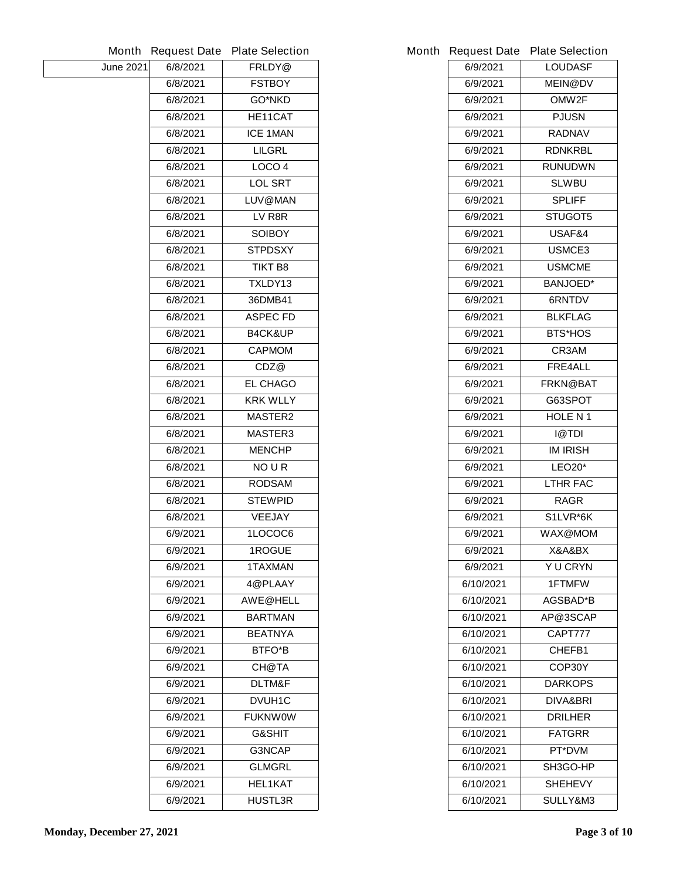|           |          | Month Request Date Plate Selection | Month Request Date Plate Sel |                     |
|-----------|----------|------------------------------------|------------------------------|---------------------|
| June 2021 | 6/8/2021 | FRLDY@                             | 6/9/2021                     | LOUD                |
|           | 6/8/2021 | <b>FSTBOY</b>                      | 6/9/2021                     | <b>MEIN</b>         |
|           | 6/8/2021 | <b>GO*NKD</b>                      | 6/9/2021                     | <b>OMW</b>          |
|           | 6/8/2021 | HE11CAT                            | 6/9/2021                     | <b>PJUS</b>         |
|           | 6/8/2021 | <b>ICE 1MAN</b>                    | 6/9/2021                     | <b>RADN</b>         |
|           | 6/8/2021 | <b>LILGRL</b>                      | 6/9/2021                     | <b>RDNK</b>         |
|           | 6/8/2021 | LOCO <sub>4</sub>                  | 6/9/2021                     | <b>RUNUD</b>        |
|           | 6/8/2021 | <b>LOL SRT</b>                     | 6/9/2021                     | <b>SLWI</b>         |
|           | 6/8/2021 | LUV@MAN                            | 6/9/2021                     | <b>SPLI</b>         |
|           | 6/8/2021 | LV R8R                             | 6/9/2021                     | <b>STUG</b>         |
|           | 6/8/2021 | <b>SOIBOY</b>                      | 6/9/2021                     | <b>USAF</b>         |
|           | 6/8/2021 | <b>STPDSXY</b>                     | 6/9/2021                     | <b>USMC</b>         |
|           | 6/8/2021 | <b>TIKT B8</b>                     | 6/9/2021                     | <b>USMC</b>         |
|           | 6/8/2021 | TXLDY13                            | 6/9/2021                     | <b>BANJO</b>        |
|           | 6/8/2021 | 36DMB41                            | 6/9/2021                     | 6RNT                |
|           | 6/8/2021 | <b>ASPEC FD</b>                    | 6/9/2021                     | <b>BLKFL</b>        |
|           | 6/8/2021 | <b>B4CK&amp;UP</b>                 | 6/9/2021                     | BTS*H               |
|           | 6/8/2021 | <b>CAPMOM</b>                      | 6/9/2021                     | <b>CR3/</b>         |
|           | 6/8/2021 | CDZ@                               | 6/9/2021                     | FRE4                |
|           | 6/8/2021 | <b>EL CHAGO</b>                    | 6/9/2021                     | <b>FRKN@</b>        |
|           | 6/8/2021 | <b>KRK WLLY</b>                    | 6/9/2021                     | <b>G63SF</b>        |
|           | 6/8/2021 | <b>MASTER2</b>                     | 6/9/2021                     | <b>HOLE</b>         |
|           | 6/8/2021 | <b>MASTER3</b>                     | 6/9/2021                     | @T                  |
|           | 6/8/2021 | <b>MENCHP</b>                      | 6/9/2021                     | <b>IM IRI</b>       |
|           | 6/8/2021 | <b>NOUR</b>                        | 6/9/2021                     | LEO <sub>2</sub>    |
|           | 6/8/2021 | <b>RODSAM</b>                      | 6/9/2021                     | LTHR I              |
|           | 6/8/2021 | <b>STEWPID</b>                     | 6/9/2021                     | <b>RAG</b>          |
|           | 6/8/2021 | <b>VEEJAY</b>                      | 6/9/2021                     | S1LVR               |
|           | 6/9/2021 | 1LOCOC6                            | 6/9/2021                     | WAX@I               |
|           | 6/9/2021 | 1ROGUE                             | 6/9/2021                     | <b>X&amp;A&amp;</b> |
|           | 6/9/2021 | <b>1TAXMAN</b>                     | 6/9/2021                     | Y U CF              |
|           | 6/9/2021 | 4@PLAAY                            | 6/10/2021                    | 1FTM                |
|           | 6/9/2021 | <b>AWE@HELL</b>                    | 6/10/2021                    | AGSBA               |
|           | 6/9/2021 | <b>BARTMAN</b>                     | 6/10/2021                    | AP@3S               |
|           | 6/9/2021 | <b>BEATNYA</b>                     | 6/10/2021                    | <b>CAPT</b>         |
|           | 6/9/2021 | <b>BTFO*B</b>                      | 6/10/2021                    | <b>CHEF</b>         |
|           | 6/9/2021 | <b>CH@TA</b>                       | 6/10/2021                    | COP <sub>3</sub>    |
|           | 6/9/2021 | <b>DLTM&amp;F</b>                  | 6/10/2021                    | <b>DARK</b>         |
|           | 6/9/2021 | <b>DVUH1C</b>                      | 6/10/2021                    | DIVA&               |
|           | 6/9/2021 | <b>FUKNWOW</b>                     | 6/10/2021                    | <b>DRILH</b>        |
|           | 6/9/2021 | <b>G&amp;SHIT</b>                  | 6/10/2021                    | <b>FATG</b>         |
|           | 6/9/2021 | <b>G3NCAP</b>                      | 6/10/2021                    | PT*D                |
|           | 6/9/2021 | <b>GLMGRL</b>                      | 6/10/2021                    | SH <sub>3</sub> GC  |
|           | 6/9/2021 | <b>HEL1KAT</b>                     | 6/10/2021                    | <b>SHEHI</b>        |
|           | 6/9/2021 | <b>HUSTL3R</b>                     | 6/10/2021                    | <b>SULLY</b>        |

|           | <b>Request Date Plate Selection</b> |
|-----------|-------------------------------------|
| 6/9/2021  | <b>LOUDASF</b>                      |
| 6/9/2021  | <b>MEIN@DV</b>                      |
| 6/9/2021  | <b>OMW2F</b>                        |
| 6/9/2021  | PJUSN                               |
| 6/9/2021  | <b>RADNAV</b>                       |
| 6/9/2021  | <b>RDNKRBL</b>                      |
| 6/9/2021  | <b>RUNUDWN</b>                      |
| 6/9/2021  | <b>SLWBU</b>                        |
| 6/9/2021  | <b>SPLIFF</b>                       |
| 6/9/2021  | <b>STUGOT5</b>                      |
| 6/9/2021  | USAF&4                              |
| 6/9/2021  | <b>USMCE3</b>                       |
| 6/9/2021  | <b>USMCME</b>                       |
| 6/9/2021  | <b>BANJOED*</b>                     |
| 6/9/2021  | <b>6RNTDV</b>                       |
| 6/9/2021  | <b>BLKFLAG</b>                      |
| 6/9/2021  | <b>BTS*HOS</b>                      |
| 6/9/2021  | <b>CR3AM</b>                        |
| 6/9/2021  | <b>FRE4ALL</b>                      |
| 6/9/2021  | <b>FRKN@BAT</b>                     |
| 6/9/2021  | G63SPOT                             |
| 6/9/2021  | <b>HOLE N 1</b>                     |
| 6/9/2021  | I@TDI                               |
| 6/9/2021  | IM IRISH                            |
| 6/9/2021  | <b>LEO20*</b>                       |
| 6/9/2021  | <b>LTHR FAC</b>                     |
| 6/9/2021  | <b>RAGR</b>                         |
| 6/9/2021  | S1LVR*6K                            |
| 6/9/2021  | WAX@MOM                             |
| 6/9/2021  | X&A&BX                              |
| 6/9/2021  | <b>Y U CRYN</b>                     |
| 6/10/2021 | <b>1FTMFW</b>                       |
| 6/10/2021 | <b>AGSBAD*B</b>                     |
| 6/10/2021 | AP@3SCAP                            |
| 6/10/2021 | CAPT777                             |
| 6/10/2021 | <b>CHEFB1</b>                       |
| 6/10/2021 | COP30Y                              |
| 6/10/2021 | <b>DARKOPS</b>                      |
| 6/10/2021 | DIVA&BRI                            |
| 6/10/2021 | <b>DRILHER</b>                      |
| 6/10/2021 | <b>FATGRR</b>                       |
| 6/10/2021 | <b>PT*DVM</b>                       |
| 6/10/2021 | <b>SH3GO-HP</b>                     |
| 6/10/2021 | <b>SHEHEVY</b>                      |
| 6/10/2021 | <b>SULLY&amp;M3</b>                 |
|           |                                     |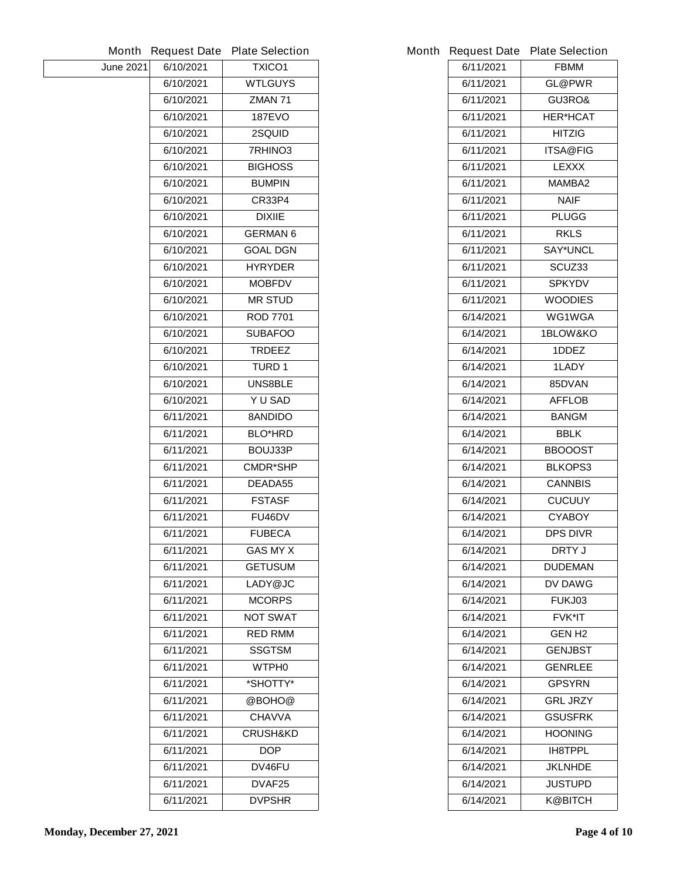|                  | <b>Month Request Date</b> | <b>Plate Selection</b> |           | Month Request Date Plate Selection |
|------------------|---------------------------|------------------------|-----------|------------------------------------|
| <b>June 2021</b> | 6/10/2021                 | <b>TXICO1</b>          | 6/11/2021 | <b>FBMM</b>                        |
|                  | 6/10/2021                 | <b>WTLGUYS</b>         | 6/11/2021 | <b>GL@PWR</b>                      |
|                  | 6/10/2021                 | <b>ZMAN 71</b>         | 6/11/2021 | GU3RO&                             |
|                  | 6/10/2021                 | <b>187EVO</b>          | 6/11/2021 | <b>HER*HCAT</b>                    |
|                  | 6/10/2021                 | <b>2SQUID</b>          | 6/11/2021 | <b>HITZIG</b>                      |
|                  | 6/10/2021                 | 7RHINO3                | 6/11/2021 | <b>ITSA@FIG</b>                    |
|                  | 6/10/2021                 | <b>BIGHOSS</b>         | 6/11/2021 | <b>LEXXX</b>                       |
|                  | 6/10/2021                 | <b>BUMPIN</b>          | 6/11/2021 | <b>MAMBA2</b>                      |
|                  | 6/10/2021                 | <b>CR33P4</b>          | 6/11/2021 | <b>NAIF</b>                        |
|                  | 6/10/2021                 | <b>DIXIIE</b>          | 6/11/2021 | <b>PLUGG</b>                       |
|                  | 6/10/2021                 | <b>GERMAN 6</b>        | 6/11/2021 | <b>RKLS</b>                        |
|                  | 6/10/2021                 | <b>GOAL DGN</b>        | 6/11/2021 | <b>SAY*UNCL</b>                    |
|                  | 6/10/2021                 | <b>HYRYDER</b>         | 6/11/2021 | SCUZ33                             |
|                  | 6/10/2021                 | <b>MOBFDV</b>          | 6/11/2021 | <b>SPKYDV</b>                      |
|                  | 6/10/2021                 | <b>MR STUD</b>         | 6/11/2021 | <b>WOODIES</b>                     |
|                  | 6/10/2021                 | <b>ROD 7701</b>        | 6/14/2021 | WG1WGA                             |
|                  | 6/10/2021                 | <b>SUBAFOO</b>         | 6/14/2021 | <b>1BLOW&amp;KO</b>                |
|                  | 6/10/2021                 | <b>TRDEEZ</b>          | 6/14/2021 | 1DDEZ                              |
|                  | 6/10/2021                 | <b>TURD 1</b>          | 6/14/2021 | 1LADY                              |
|                  | 6/10/2021                 | <b>UNS8BLE</b>         | 6/14/2021 | 85DVAN                             |
|                  | 6/10/2021                 | Y U SAD                | 6/14/2021 | <b>AFFLOB</b>                      |
|                  | 6/11/2021                 | 8ANDIDO                | 6/14/2021 | <b>BANGM</b>                       |
|                  | 6/11/2021                 | <b>BLO*HRD</b>         | 6/14/2021 | <b>BBLK</b>                        |
|                  | 6/11/2021                 | BOUJ33P                | 6/14/2021 | <b>BBOOOST</b>                     |
|                  | 6/11/2021                 | <b>CMDR*SHP</b>        | 6/14/2021 | <b>BLKOPS3</b>                     |
|                  | 6/11/2021                 | DEADA55                | 6/14/2021 | <b>CANNBIS</b>                     |
|                  | 6/11/2021                 | <b>FSTASF</b>          | 6/14/2021 | <b>CUCUUY</b>                      |
|                  | 6/11/2021                 | FU46DV                 | 6/14/2021 | <b>CYABOY</b>                      |
|                  | 6/11/2021                 | <b>FUBECA</b>          | 6/14/2021 | <b>DPS DIVR</b>                    |
|                  | 6/11/2021                 | <b>GAS MY X</b>        | 6/14/2021 | <b>DRTY J</b>                      |
|                  | 6/11/2021                 | <b>GETUSUM</b>         | 6/14/2021 | <b>DUDEMAN</b>                     |
|                  | 6/11/2021                 | LADY@JC                | 6/14/2021 | <b>DV DAWG</b>                     |
|                  | 6/11/2021                 | <b>MCORPS</b>          | 6/14/2021 | FUKJ03                             |
|                  | 6/11/2021                 | <b>NOT SWAT</b>        | 6/14/2021 | <b>FVK*IT</b>                      |
|                  | 6/11/2021                 | <b>RED RMM</b>         | 6/14/2021 | <b>GEN H2</b>                      |
|                  | 6/11/2021                 | <b>SSGTSM</b>          | 6/14/2021 | <b>GENJBST</b>                     |
|                  | 6/11/2021                 | <b>WTPHO</b>           | 6/14/2021 | <b>GENRLEE</b>                     |
|                  | 6/11/2021                 | *SHOTTY*               | 6/14/2021 | <b>GPSYRN</b>                      |
|                  | 6/11/2021                 | @BOHO@                 | 6/14/2021 | <b>GRL JRZY</b>                    |
|                  | 6/11/2021                 | <b>CHAVVA</b>          | 6/14/2021 | <b>GSUSFRK</b>                     |
|                  | 6/11/2021                 | <b>CRUSH&amp;KD</b>    | 6/14/2021 | <b>HOONING</b>                     |
|                  | 6/11/2021                 | <b>DOP</b>             | 6/14/2021 | <b>IH8TPPL</b>                     |
|                  | 6/11/2021                 | DV46FU                 | 6/14/2021 | <b>JKLNHDE</b>                     |
|                  | 6/11/2021                 | DVAF25                 | 6/14/2021 | <b>JUSTUPD</b>                     |
|                  | 6/11/2021                 | <b>DVPSHR</b>          | 6/14/2021 | <b>K@BITCH</b>                     |
|                  |                           |                        |           |                                    |

|           | <b>Request Date Plate Selection</b> |
|-----------|-------------------------------------|
| 6/11/2021 | <b>FBMM</b>                         |
| 6/11/2021 | <b>GL@PWR</b>                       |
| 6/11/2021 | <b>GU3RO&amp;</b>                   |
| 6/11/2021 | <b>HER*HCAT</b>                     |
| 6/11/2021 | HITZIG                              |
| 6/11/2021 | <b>ITSA@FIG</b>                     |
| 6/11/2021 | <b>LEXXX</b>                        |
| 6/11/2021 | <b>MAMBA2</b>                       |
| 6/11/2021 | NAIF                                |
| 6/11/2021 | <b>PLUGG</b>                        |
| 6/11/2021 | <b>RKLS</b>                         |
| 6/11/2021 | <b>SAY*UNCL</b>                     |
| 6/11/2021 | SCUZ33                              |
| 6/11/2021 | <b>SPKYDV</b>                       |
| 6/11/2021 | <b>WOODIES</b>                      |
| 6/14/2021 | <b>WG1WGA</b>                       |
| 6/14/2021 | <b>1BLOW&amp;KO</b>                 |
| 6/14/2021 | <b>1DDEZ</b>                        |
| 6/14/2021 | <b>1LADY</b>                        |
| 6/14/2021 | 85DVAN                              |
| 6/14/2021 | <b>AFFLOB</b>                       |
| 6/14/2021 | <b>BANGM</b>                        |
| 6/14/2021 | BBLK                                |
| 6/14/2021 | BBOOOST                             |
| 6/14/2021 | <b>BLKOPS3</b>                      |
| 6/14/2021 | <b>CANNBIS</b>                      |
| 6/14/2021 | <b>CUCUUY</b>                       |
| 6/14/2021 | <b>CYABOY</b>                       |
| 6/14/2021 | <b>DPS DIVR</b>                     |
| 6/14/2021 | DRTY J                              |
| 6/14/2021 | <b>DUDEMAN</b>                      |
| 6/14/2021 | DV DAWG                             |
| 6/14/2021 | <b>FUKJ03</b>                       |
| 6/14/2021 | <b>FVK*IT</b>                       |
| 6/14/2021 | GEN H2                              |
| 6/14/2021 | <b>GENJBST</b>                      |
| 6/14/2021 | <b>GENRLEE</b>                      |
| 6/14/2021 | <b>GPSYRN</b>                       |
| 6/14/2021 | <b>GRL JRZY</b>                     |
| 6/14/2021 | <b>GSUSFRK</b>                      |
| 6/14/2021 | <b>HOONING</b>                      |
| 6/14/2021 | <b>IH8TPPL</b>                      |
| 6/14/2021 | <b>JKLNHDE</b>                      |
| 6/14/2021 | <b>JUSTUPD</b>                      |
| 6/14/2021 | K@BITCH                             |
|           |                                     |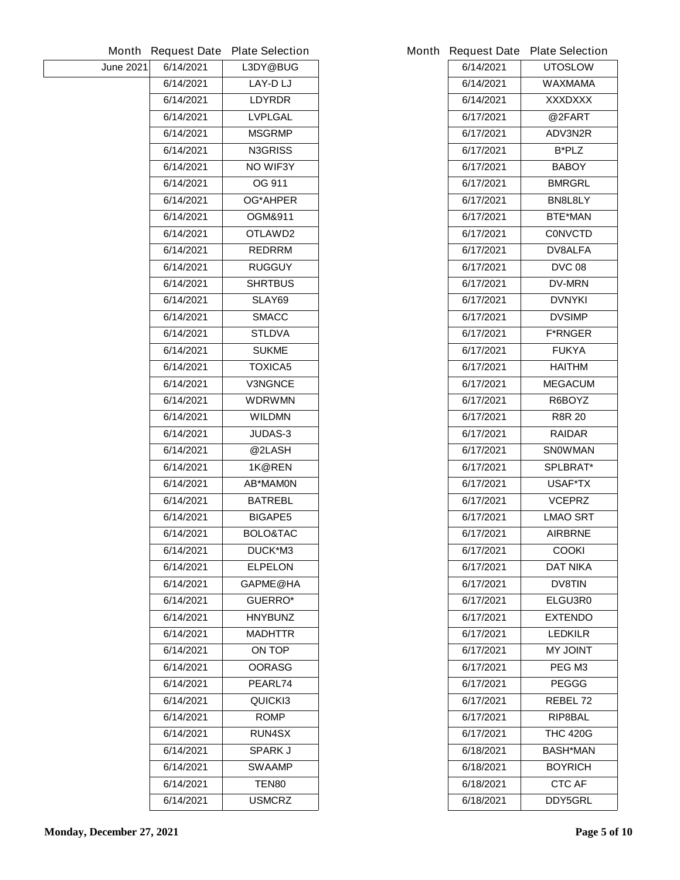|                  |           | Month Request Date Plate Selection |           | Month Request Date Plate Selection |
|------------------|-----------|------------------------------------|-----------|------------------------------------|
| <b>June 2021</b> | 6/14/2021 | L3DY@BUG                           | 6/14/2021 | <b>UTOSLOW</b>                     |
|                  | 6/14/2021 | LAY-D LJ                           | 6/14/2021 | <b>WAXMAMA</b>                     |
|                  | 6/14/2021 | <b>LDYRDR</b>                      | 6/14/2021 | <b>XXXDXXX</b>                     |
|                  | 6/14/2021 | <b>LVPLGAL</b>                     | 6/17/2021 | @2FART                             |
|                  | 6/14/2021 | <b>MSGRMP</b>                      | 6/17/2021 | ADV3N2R                            |
|                  | 6/14/2021 | <b>N3GRISS</b>                     | 6/17/2021 | <b>B*PLZ</b>                       |
|                  | 6/14/2021 | <b>NO WIF3Y</b>                    | 6/17/2021 | <b>BABOY</b>                       |
|                  | 6/14/2021 | OG 911                             | 6/17/2021 | <b>BMRGRL</b>                      |
|                  | 6/14/2021 | <b>OG*AHPER</b>                    | 6/17/2021 | BN8L8LY                            |
|                  | 6/14/2021 | <b>OGM&amp;911</b>                 | 6/17/2021 | <b>BTE*MAN</b>                     |
|                  | 6/14/2021 | OTLAWD2                            | 6/17/2021 | <b>CONVCTD</b>                     |
|                  | 6/14/2021 | <b>REDRRM</b>                      | 6/17/2021 | <b>DV8ALFA</b>                     |
|                  | 6/14/2021 | <b>RUGGUY</b>                      | 6/17/2021 | <b>DVC 08</b>                      |
|                  | 6/14/2021 | <b>SHRTBUS</b>                     | 6/17/2021 | <b>DV-MRN</b>                      |
|                  | 6/14/2021 | SLAY69                             | 6/17/2021 | <b>DVNYKI</b>                      |
|                  | 6/14/2021 | <b>SMACC</b>                       | 6/17/2021 | <b>DVSIMP</b>                      |
|                  | 6/14/2021 | <b>STLDVA</b>                      | 6/17/2021 | <b>F*RNGER</b>                     |
|                  | 6/14/2021 | <b>SUKME</b>                       | 6/17/2021 | <b>FUKYA</b>                       |
|                  | 6/14/2021 | <b>TOXICA5</b>                     | 6/17/2021 | <b>HAITHM</b>                      |
|                  | 6/14/2021 | <b>V3NGNCE</b>                     | 6/17/2021 | <b>MEGACUM</b>                     |
|                  | 6/14/2021 | <b>WDRWMN</b>                      | 6/17/2021 | R6BOYZ                             |
|                  | 6/14/2021 | <b>WILDMN</b>                      | 6/17/2021 | <b>R8R 20</b>                      |
|                  | 6/14/2021 | <b>JUDAS-3</b>                     | 6/17/2021 | <b>RAIDAR</b>                      |
|                  | 6/14/2021 | @2LASH                             | 6/17/2021 | <b>SNOWMAN</b>                     |
|                  | 6/14/2021 | 1K@REN                             | 6/17/2021 | <b>SPLBRAT*</b>                    |
|                  | 6/14/2021 | <b>AB*MAMON</b>                    | 6/17/2021 | USAF*TX                            |
|                  | 6/14/2021 | <b>BATREBL</b>                     | 6/17/2021 | <b>VCEPRZ</b>                      |
|                  | 6/14/2021 | <b>BIGAPE5</b>                     | 6/17/2021 | <b>LMAO SRT</b>                    |
|                  | 6/14/2021 | <b>BOLO&amp;TAC</b>                | 6/17/2021 | <b>AIRBRNE</b>                     |
|                  | 6/14/2021 | DUCK*M3                            | 6/17/2021 | <b>COOKI</b>                       |
|                  | 6/14/2021 | <b>ELPELON</b>                     | 6/17/2021 | <b>DAT NIKA</b>                    |
|                  | 6/14/2021 | <b>GAPME@HA</b>                    | 6/17/2021 | <b>DV8TIN</b>                      |
|                  | 6/14/2021 | <b>GUERRO*</b>                     | 6/17/2021 | ELGU3R0                            |
|                  | 6/14/2021 | <b>HNYBUNZ</b>                     | 6/17/2021 | <b>EXTENDO</b>                     |
|                  | 6/14/2021 | <b>MADHTTR</b>                     | 6/17/2021 | <b>LEDKILR</b>                     |
|                  | 6/14/2021 | <b>ON TOP</b>                      | 6/17/2021 | <b>THIOL YM</b>                    |
|                  | 6/14/2021 | <b>OORASG</b>                      | 6/17/2021 | PEG M3                             |
|                  | 6/14/2021 | PEARL74                            | 6/17/2021 | <b>PEGGG</b>                       |
|                  | 6/14/2021 | QUICKI3                            | 6/17/2021 | REBEL 72                           |
|                  | 6/14/2021 | <b>ROMP</b>                        | 6/17/2021 | <b>RIP8BAL</b>                     |
|                  | 6/14/2021 | <b>RUN4SX</b>                      | 6/17/2021 | <b>THC 420G</b>                    |
|                  | 6/14/2021 | <b>SPARK J</b>                     | 6/18/2021 | <b>BASH*MAN</b>                    |
|                  | 6/14/2021 | <b>SWAAMP</b>                      | 6/18/2021 | <b>BOYRICH</b>                     |
|                  | 6/14/2021 | <b>TEN80</b>                       | 6/18/2021 | <b>CTC AF</b>                      |
|                  | 6/14/2021 | <b>USMCRZ</b>                      | 6/18/2021 | <b>DDY5GRL</b>                     |
|                  |           |                                    |           |                                    |

|           | <b>Request Date Plate Selection</b> |
|-----------|-------------------------------------|
| 6/14/2021 | <b>UTOSLOW</b>                      |
| 6/14/2021 | WAXMAMA                             |
| 6/14/2021 | XXXDXXX                             |
| 6/17/2021 | @2FART                              |
| 6/17/2021 | ADV3N2R                             |
| 6/17/2021 | <b>B*PLZ</b>                        |
| 6/17/2021 | <b>BABOY</b>                        |
| 6/17/2021 | <b>BMRGRL</b>                       |
| 6/17/2021 | BN8L8LY                             |
| 6/17/2021 | <b>BTE*MAN</b>                      |
| 6/17/2021 | <b>CONVCTD</b>                      |
| 6/17/2021 | <b>DV8ALFA</b>                      |
| 6/17/2021 | <b>DVC 08</b>                       |
| 6/17/2021 | <b>DV-MRN</b>                       |
| 6/17/2021 | <b>DVNYKI</b>                       |
| 6/17/2021 | <b>DVSIMP</b>                       |
| 6/17/2021 | <b>F*RNGER</b>                      |
| 6/17/2021 | <b>FUKYA</b>                        |
| 6/17/2021 | <b>HAITHM</b>                       |
| 6/17/2021 | <b>MEGACUM</b>                      |
| 6/17/2021 | R6BOYZ                              |
| 6/17/2021 | <b>R8R 20</b>                       |
| 6/17/2021 | <b>RAIDAR</b>                       |
| 6/17/2021 | <b>SNOWMAN</b>                      |
| 6/17/2021 | <b>SPLBRAT*</b>                     |
| 6/17/2021 | <b>USAF*TX</b>                      |
| 6/17/2021 | <b>VCEPRZ</b>                       |
| 6/17/2021 | <b>LMAO SRT</b>                     |
| 6/17/2021 | <b>AIRBRNE</b>                      |
| 6/17/2021 | <b>COOKI</b>                        |
| 6/17/2021 | DAT NIKA                            |
| 6/17/2021 | <b>DV8TIN</b>                       |
| 6/17/2021 | <b>ELGU3R0</b>                      |
| 6/17/2021 | <b>EXTENDO</b>                      |
| 6/17/2021 | LEDKILR                             |
| 6/17/2021 | <b>THIOL YM</b>                     |
| 6/17/2021 | PEG M <sub>3</sub>                  |
| 6/17/2021 | <b>PEGGG</b>                        |
| 6/17/2021 | <b>REBEL 72</b>                     |
| 6/17/2021 | RIP8BAL                             |
| 6/17/2021 | <b>THC 420G</b>                     |
| 6/18/2021 | <b>BASH*MAN</b>                     |
| 6/18/2021 | <b>BOYRICH</b>                      |
| 6/18/2021 | <b>CTC AF</b>                       |
| 6/18/2021 | <b>DDY5GRL</b>                      |
|           |                                     |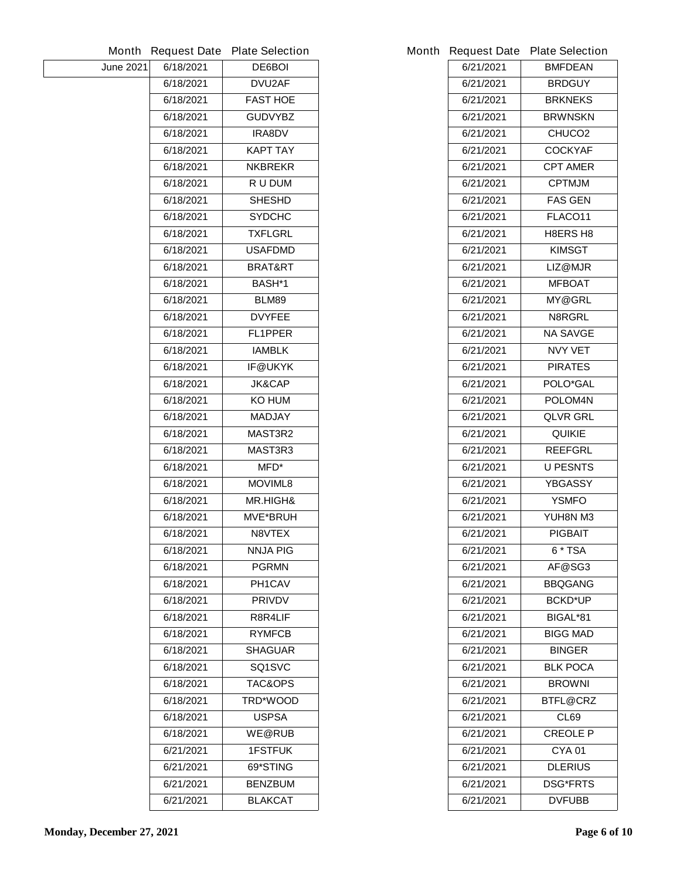| Month            | <b>Request Date</b> | <b>Plate Selection</b> |
|------------------|---------------------|------------------------|
| <b>June 2021</b> | 6/18/2021           | <b>DE6BOI</b>          |
|                  | 6/18/2021           | <b>DVU2AF</b>          |
|                  | 6/18/2021           | <b>FAST HOE</b>        |
|                  | 6/18/2021           | <b>GUDVYBZ</b>         |
|                  | 6/18/2021           | <b>IRA8DV</b>          |
|                  | 6/18/2021           | KAPT TAY               |
|                  | 6/18/2021           | <b>NKBREKR</b>         |
|                  | 6/18/2021           | <b>RU DUM</b>          |
|                  | 6/18/2021           | <b>SHESHD</b>          |
|                  | 6/18/2021           | <b>SYDCHC</b>          |
|                  | 6/18/2021           | <b>TXFLGRL</b>         |
|                  | 6/18/2021           | <b>USAFDMD</b>         |
|                  | 6/18/2021           | <b>BRAT&amp;RT</b>     |
|                  | 6/18/2021           | <b>BASH*1</b>          |
|                  | 6/18/2021           | BLM89                  |
|                  | 6/18/2021           | <b>DVYFEE</b>          |
|                  | 6/18/2021           | <b>FL1PPER</b>         |
|                  | 6/18/2021           | <b>IAMBLK</b>          |
|                  | 6/18/2021           | <b>IF@UKYK</b>         |
|                  | 6/18/2021           | <b>JK&amp;CAP</b>      |
|                  | 6/18/2021           | KO HUM                 |
|                  | 6/18/2021           | <b>MADJAY</b>          |
|                  | 6/18/2021           | <b>MAST3R2</b>         |
|                  | 6/18/2021           | MAST3R3                |
|                  | 6/18/2021           | MFD*                   |
|                  | 6/18/2021           | <b>MOVIML8</b>         |
|                  | 6/18/2021           | <b>MR.HIGH&amp;</b>    |
|                  | 6/18/2021           | <b>MVE*BRUH</b>        |
|                  | 6/18/2021           | <b>N8VTEX</b>          |
|                  | 6/18/2021           | NNJA PIG               |
|                  | 6/18/2021           | <b>PGRMN</b>           |
|                  | 6/18/2021           | <b>PH1CAV</b>          |
|                  | 6/18/2021           | <b>PRIVDV</b>          |
|                  | 6/18/2021           | <b>R8R4LIF</b>         |
|                  | 6/18/2021           | <b>RYMFCB</b>          |
|                  | 6/18/2021           | <b>SHAGUAR</b>         |
|                  | 6/18/2021           | SQ1SVC                 |
|                  | 6/18/2021           | <b>TAC&amp;OPS</b>     |
|                  | 6/18/2021           | <b>TRD*WOOD</b>        |
|                  | 6/18/2021           | <b>USPSA</b>           |
|                  | 6/18/2021           | <b>WE@RUB</b>          |
|                  | 6/21/2021           | <b>1FSTFUK</b>         |
|                  | 6/21/2021           | 69*STING               |
|                  | 6/21/2021           | <b>BENZBUM</b>         |
|                  | 6/21/2021           | <b>BLAKCAT</b>         |
|                  |                     |                        |

| 6/21/2021                    | <b>BRDGUY</b>      |  |
|------------------------------|--------------------|--|
| 6/21/2021                    | <b>BRKNEKS</b>     |  |
| 6/21/2021                    | <b>BRWNSKN</b>     |  |
| 6/21/2021                    | CHUCO <sub>2</sub> |  |
| 6/21/2021                    | <b>COCKYAF</b>     |  |
| 6/21/2021                    | CPT AMER           |  |
| 6/21/2021                    | <b>CPTMJM</b>      |  |
| 6/21/2021                    | <b>FAS GEN</b>     |  |
| 6/21/2021                    | <b>FLACO11</b>     |  |
| 6/21/2021                    | <b>H8ERS H8</b>    |  |
| 6/21/2021                    | KIMSGT             |  |
| 6/21/2021                    | LIZ@MJR            |  |
| 6/21/2021                    | <b>MFBOAT</b>      |  |
| 6/21/2021                    | <b>MY@GRL</b>      |  |
| 6/21/2021                    | N8RGRL             |  |
| 6/21/2021                    | NA SAVGE           |  |
| 6/21/2021                    | <b>NVY VET</b>     |  |
| 6/21/2021                    | <b>PIRATES</b>     |  |
| 6/21/2021                    | <b>POLO*GAL</b>    |  |
| 6/21/2021                    | <b>POLOM4N</b>     |  |
| 6/21/2021                    | QLVR GRL           |  |
| 6/21/2021                    | <b>QUIKIE</b>      |  |
| 6/21/2021                    | <b>REEFGRL</b>     |  |
| 6/21/2021                    | <b>U PESNTS</b>    |  |
| 6/21/2021                    | <b>YBGASSY</b>     |  |
| 6/21/2021                    | YSMFO              |  |
| 6/21/2021                    | YUH8N M3           |  |
| 6/21/2021                    | PIGBAIT            |  |
| 6/21/2021                    | 6 * TSA            |  |
| 6/21/2021                    | AF@SG3             |  |
| 6/21/2021                    | <b>BBQGANG</b>     |  |
| 6/21/2021                    | <b>BCKD*UP</b>     |  |
| 6/21/2021                    | <b>BIGAL*81</b>    |  |
| 6/21/2021                    | BIGG MAD           |  |
| 6/21/2021                    | <b>BINGER</b>      |  |
| 6/21/2021                    | <b>BLK POCA</b>    |  |
| 6/21/2021                    | <b>BROWNI</b>      |  |
| 6/21/2021                    | <b>BTFL@CRZ</b>    |  |
| 6/21/2021                    | CL69               |  |
| 6/21/2021                    | <b>CREOLE P</b>    |  |
| 6/21/2021                    | <b>CYA01</b>       |  |
| 6/21/2021                    | <b>DLERIUS</b>     |  |
| 6/21/2021<br><b>DSG*FRTS</b> |                    |  |
| 6/21/2021                    | <b>DVFUBB</b>      |  |
|                              |                    |  |

**Month Request Date Plate Selection** 

**6/21/2021 BMFDEAN**

 $\overline{\phantom{a}}$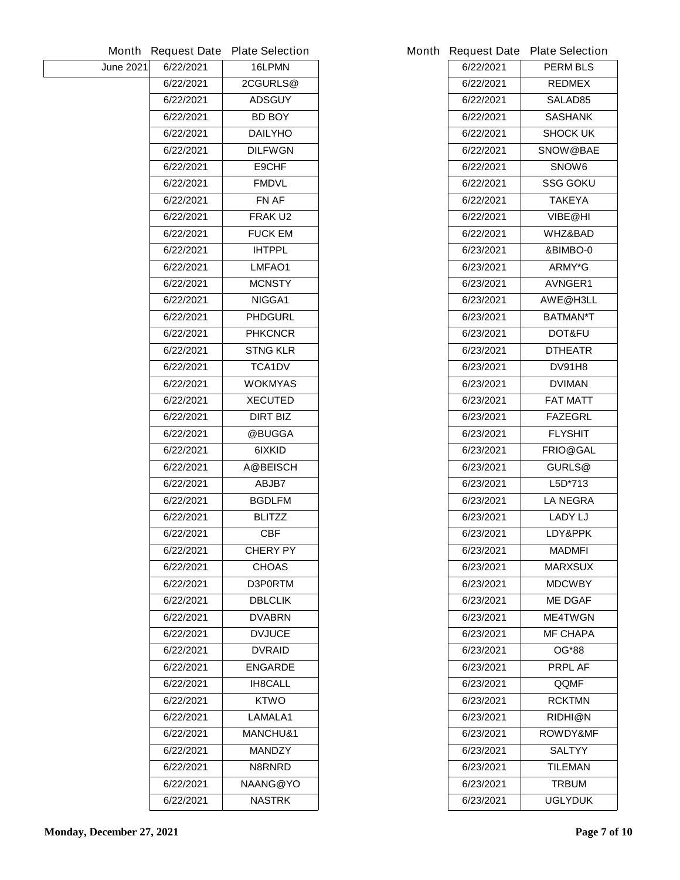|                  |           | Month Request Date Plate Selection |           | Month Request Date Plate Selection |
|------------------|-----------|------------------------------------|-----------|------------------------------------|
| <b>June 2021</b> | 6/22/2021 | 16LPMN                             | 6/22/2021 | <b>PERM BLS</b>                    |
|                  | 6/22/2021 | 2CGURLS@                           | 6/22/2021 | <b>REDMEX</b>                      |
|                  | 6/22/2021 | <b>ADSGUY</b>                      | 6/22/2021 | SALAD85                            |
|                  | 6/22/2021 | <b>BD BOY</b>                      | 6/22/2021 | <b>SASHANK</b>                     |
|                  | 6/22/2021 | <b>DAILYHO</b>                     | 6/22/2021 | <b>SHOCK UK</b>                    |
|                  | 6/22/2021 | <b>DILFWGN</b>                     | 6/22/2021 | <b>SNOW@BAE</b>                    |
|                  | 6/22/2021 | E9CHF                              | 6/22/2021 | SNOW6                              |
|                  | 6/22/2021 | <b>FMDVL</b>                       | 6/22/2021 | <b>SSG GOKU</b>                    |
|                  | 6/22/2021 | FN AF                              | 6/22/2021 | <b>TAKEYA</b>                      |
|                  | 6/22/2021 | FRAKU2                             | 6/22/2021 | VIBE@HI                            |
|                  | 6/22/2021 | <b>FUCK EM</b>                     | 6/22/2021 | <b>WHZ&amp;BAD</b>                 |
|                  | 6/22/2021 | <b>IHTPPL</b>                      | 6/23/2021 | &BIMBO-0                           |
|                  | 6/22/2021 | LMFAO1                             | 6/23/2021 | ARMY*G                             |
|                  | 6/22/2021 | <b>MCNSTY</b>                      | 6/23/2021 | AVNGER1                            |
|                  | 6/22/2021 | NIGGA1                             | 6/23/2021 | AWE@H3LL                           |
|                  | 6/22/2021 | <b>PHDGURL</b>                     | 6/23/2021 | <b>BATMAN*T</b>                    |
|                  | 6/22/2021 | <b>PHKCNCR</b>                     | 6/23/2021 | <b>DOT&amp;FU</b>                  |
|                  | 6/22/2021 | <b>STNG KLR</b>                    | 6/23/2021 | <b>DTHEATR</b>                     |
|                  | 6/22/2021 | <b>TCA1DV</b>                      | 6/23/2021 | <b>DV91H8</b>                      |
|                  | 6/22/2021 | <b>WOKMYAS</b>                     | 6/23/2021 | <b>DVIMAN</b>                      |
|                  | 6/22/2021 | <b>XECUTED</b>                     | 6/23/2021 | <b>FAT MATT</b>                    |
|                  | 6/22/2021 | <b>DIRT BIZ</b>                    | 6/23/2021 | <b>FAZEGRL</b>                     |
|                  | 6/22/2021 | @BUGGA                             | 6/23/2021 | <b>FLYSHIT</b>                     |
|                  | 6/22/2021 | 6IXKID                             | 6/23/2021 | <b>FRIO@GAL</b>                    |
|                  | 6/22/2021 | <b>A@BEISCH</b>                    | 6/23/2021 | GURLS@                             |
|                  | 6/22/2021 | <b>ABJB7</b>                       | 6/23/2021 | L5D*713                            |
|                  | 6/22/2021 | <b>BGDLFM</b>                      | 6/23/2021 | <b>LA NEGRA</b>                    |
|                  | 6/22/2021 | <b>BLITZZ</b>                      | 6/23/2021 | <b>LADY LJ</b>                     |
|                  | 6/22/2021 | <b>CBF</b>                         | 6/23/2021 | LDY&PPK                            |
|                  | 6/22/2021 | <b>CHERY PY</b>                    | 6/23/2021 | <b>MADMFI</b>                      |
|                  | 6/22/2021 | <b>CHOAS</b>                       | 6/23/2021 | <b>MARXSUX</b>                     |
|                  | 6/22/2021 | D3P0RTM                            | 6/23/2021 | <b>MDCWBY</b>                      |
|                  | 6/22/2021 | <b>DBLCLIK</b>                     | 6/23/2021 | <b>ME DGAF</b>                     |
|                  | 6/22/2021 | <b>DVABRN</b>                      | 6/23/2021 | <b>ME4TWGN</b>                     |
|                  | 6/22/2021 | <b>DVJUCE</b>                      | 6/23/2021 | <b>MF CHAPA</b>                    |
|                  | 6/22/2021 | <b>DVRAID</b>                      | 6/23/2021 | <b>OG*88</b>                       |
|                  | 6/22/2021 | <b>ENGARDE</b>                     | 6/23/2021 | <b>PRPL AF</b>                     |
|                  | 6/22/2021 | <b>IH8CALL</b>                     | 6/23/2021 | QQMF                               |
|                  | 6/22/2021 | <b>KTWO</b>                        | 6/23/2021 | <b>RCKTMN</b>                      |
|                  | 6/22/2021 | LAMALA1                            | 6/23/2021 | <b>RIDHI@N</b>                     |
|                  | 6/22/2021 | <b>MANCHU&amp;1</b>                | 6/23/2021 | <b>ROWDY&amp;MF</b>                |
|                  | 6/22/2021 | <b>MANDZY</b>                      | 6/23/2021 | <b>SALTYY</b>                      |
|                  | 6/22/2021 | N8RNRD                             | 6/23/2021 | <b>TILEMAN</b>                     |
|                  | 6/22/2021 | <b>NAANG@YO</b>                    | 6/23/2021 | <b>TRBUM</b>                       |
|                  | 6/22/2021 | <b>NASTRK</b>                      | 6/23/2021 | <b>UGLYDUK</b>                     |
|                  |           |                                    |           |                                    |

|           | <b>Request Date Plate Selection</b> |
|-----------|-------------------------------------|
| 6/22/2021 | <b>PERM BLS</b>                     |
| 6/22/2021 | <b>REDMEX</b>                       |
| 6/22/2021 | <b>SALAD85</b>                      |
| 6/22/2021 | <b>SASHANK</b>                      |
| 6/22/2021 | <b>SHOCK UK</b>                     |
| 6/22/2021 | <b>SNOW@BAE</b>                     |
| 6/22/2021 | <b>SNOW6</b>                        |
| 6/22/2021 | <b>SSG GOKU</b>                     |
| 6/22/2021 | TAKEYA                              |
| 6/22/2021 | VIBE@HI                             |
| 6/22/2021 | <b>WHZ&amp;BAD</b>                  |
| 6/23/2021 | &BIMBO-0                            |
| 6/23/2021 | <b>ARMY*G</b>                       |
| 6/23/2021 | <b>AVNGER1</b>                      |
| 6/23/2021 | AWE@H3LL                            |
| 6/23/2021 | <b>BATMAN*T</b>                     |
| 6/23/2021 | <b>DOT&amp;FU</b>                   |
| 6/23/2021 | <b>DTHEATR</b>                      |
| 6/23/2021 | <b>DV91H8</b>                       |
| 6/23/2021 | <b>DVIMAN</b>                       |
| 6/23/2021 | <b>FAT MATT</b>                     |
| 6/23/2021 | <b>FAZEGRL</b>                      |
| 6/23/2021 | <b>FLYSHIT</b>                      |
| 6/23/2021 | <b>FRIO@GAL</b>                     |
| 6/23/2021 | <b>GURLS@</b>                       |
| 6/23/2021 | L5D*713                             |
| 6/23/2021 | <b>LA NEGRA</b>                     |
| 6/23/2021 | <b>LADY LJ</b>                      |
| 6/23/2021 | LDY&PPK                             |
| 6/23/2021 | MADMFI                              |
| 6/23/2021 | <b>MARXSUX</b>                      |
| 6/23/2021 | <b>MDCWBY</b>                       |
| 6/23/2021 | <b>ME DGAF</b>                      |
| 6/23/2021 | <b>ME4TWGN</b>                      |
| 6/23/2021 | <b>MF CHAPA</b>                     |
| 6/23/2021 | OG*88                               |
| 6/23/2021 | PRPL AF                             |
| 6/23/2021 | QQMF                                |
| 6/23/2021 | <b>RCKTMN</b>                       |
| 6/23/2021 | RIDHI@N                             |
| 6/23/2021 | <b>ROWDY&amp;MF</b>                 |
| 6/23/2021 | <b>SALTYY</b>                       |
| 6/23/2021 | TILEMAN                             |
| 6/23/2021 | TRBUM                               |
| 6/23/2021 | <b>UGLYDUK</b>                      |
|           |                                     |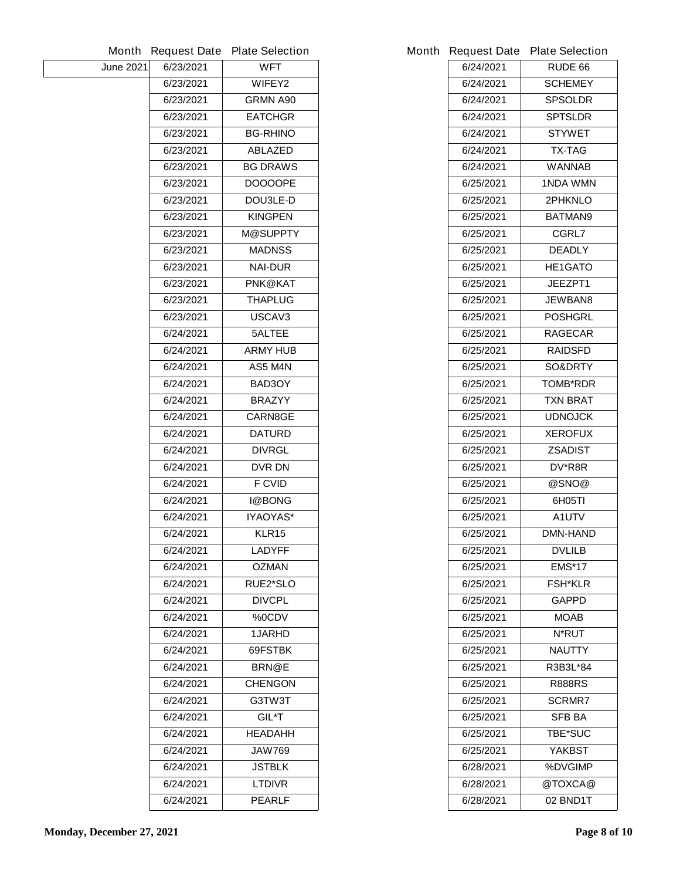| Month            | <b>Request Date</b> | <b>Plate Selection</b> |
|------------------|---------------------|------------------------|
| <b>June 2021</b> | 6/23/2021           | WFT                    |
|                  | 6/23/2021           | <b>WIFEY2</b>          |
|                  | 6/23/2021           | <b>GRMN A90</b>        |
|                  | 6/23/2021           | <b>EATCHGR</b>         |
|                  | 6/23/2021           | <b>BG-RHINO</b>        |
|                  | 6/23/2021           | <b>ABLAZED</b>         |
|                  | 6/23/2021           | <b>BG DRAWS</b>        |
|                  | 6/23/2021           | <b>DOOOOPE</b>         |
|                  | 6/23/2021           | DOU3LE-D               |
|                  | 6/23/2021           | <b>KINGPEN</b>         |
|                  | 6/23/2021           | <b>M@SUPPTY</b>        |
|                  | 6/23/2021           | <b>MADNSS</b>          |
|                  | 6/23/2021           | <b>NAI-DUR</b>         |
|                  | 6/23/2021           | PNK@KAT                |
|                  | 6/23/2021           | <b>THAPLUG</b>         |
|                  | 6/23/2021           | USCAV3                 |
|                  | 6/24/2021           | <b>5ALTEE</b>          |
|                  | 6/24/2021           | <b>ARMY HUB</b>        |
|                  | 6/24/2021           | AS5 M4N                |
|                  | 6/24/2021           | BAD3OY                 |
|                  | 6/24/2021           | <b>BRAZYY</b>          |
|                  | 6/24/2021           | <b>CARN8GE</b>         |
|                  | 6/24/2021           | <b>DATURD</b>          |
|                  | 6/24/2021           | <b>DIVRGL</b>          |
|                  | 6/24/2021           | <b>DVR DN</b>          |
|                  | 6/24/2021           | <b>F CVID</b>          |
|                  | 6/24/2021           | <b>I@BONG</b>          |
|                  | 6/24/2021           | IYAOYAS*               |
|                  | 6/24/2021           | <b>KLR15</b>           |
|                  | 6/24/2021           | LADYFF                 |
|                  | 6/24/2021           | <b>OZMAN</b>           |
|                  | 6/24/2021           | <b>RUE2*SLO</b>        |
|                  | 6/24/2021           | <b>DIVCPL</b>          |
|                  | 6/24/2021           | %0CDV                  |
|                  | 6/24/2021           | <b>1JARHD</b>          |
|                  | 6/24/2021           | <b>69FSTBK</b>         |
|                  | 6/24/2021           | <b>BRN@E</b>           |
|                  | 6/24/2021           | <b>CHENGON</b>         |
|                  | 6/24/2021           | G3TW3T                 |
|                  | 6/24/2021           | <b>GIL*T</b>           |
|                  | 6/24/2021           | <b>HEADAHH</b>         |
|                  | 6/24/2021           | <b>JAW769</b>          |
|                  | 6/24/2021           | <b>JSTBLK</b>          |
|                  | 6/24/2021           | <b>LTDIVR</b>          |
|                  | 6/24/2021           | <b>PEARLF</b>          |
|                  |                     |                        |

|           | Month Request Date Plate Selection |
|-----------|------------------------------------|
| 6/24/2021 | <b>RUDE 66</b>                     |
| 6/24/2021 | <b>SCHEMEY</b>                     |
| 6/24/2021 | <b>SPSOLDR</b>                     |
| 6/24/2021 | <b>SPTSLDR</b>                     |
| 6/24/2021 | <b>STYWET</b>                      |
| 6/24/2021 | TX-TAG                             |
| 6/24/2021 | WANNAB                             |
| 6/25/2021 | 1NDA WMN                           |
| 6/25/2021 | <b>2PHKNLO</b>                     |
| 6/25/2021 | <b>BATMAN9</b>                     |
| 6/25/2021 | <b>CGRL7</b>                       |
| 6/25/2021 | <b>DEADLY</b>                      |
| 6/25/2021 | <b>HE1GATO</b>                     |
| 6/25/2021 | <b>JEEZPT1</b>                     |
| 6/25/2021 | <b>JEWBAN8</b>                     |
| 6/25/2021 | <b>POSHGRL</b>                     |
| 6/25/2021 | <b>RAGECAR</b>                     |
| 6/25/2021 | <b>RAIDSFD</b>                     |
| 6/25/2021 | <b>SO&amp;DRTY</b>                 |
| 6/25/2021 | <b>TOMB*RDR</b>                    |
| 6/25/2021 | <b>TXN BRAT</b>                    |
| 6/25/2021 | <b>UDNOJCK</b>                     |
| 6/25/2021 | <b>XEROFUX</b>                     |
| 6/25/2021 | <b>ZSADIST</b>                     |
| 6/25/2021 | DV*R8R                             |
| 6/25/2021 | @SNO@                              |
| 6/25/2021 | 6H05TI                             |
| 6/25/2021 | A1UTV                              |
| 6/25/2021 | <b>DMN-HAND</b>                    |
| 6/25/2021 | <b>DVLILB</b>                      |
| 6/25/2021 | <b>EMS*17</b>                      |
| 6/25/2021 | <b>FSH*KLR</b>                     |
| 6/25/2021 | <b>GAPPD</b>                       |
| 6/25/2021 | MOAB                               |
| 6/25/2021 | <b>N*RUT</b>                       |
| 6/25/2021 | <b>NAUTTY</b>                      |
| 6/25/2021 | R3B3L*84                           |
| 6/25/2021 | <b>R888RS</b>                      |
| 6/25/2021 | <b>SCRMR7</b>                      |
| 6/25/2021 | SFB BA                             |
| 6/25/2021 | <b>TBE*SUC</b>                     |
| 6/25/2021 | YAKBST                             |
| 6/28/2021 | %DVGIMP                            |
| 6/28/2021 | @TOXCA@                            |
| 6/28/2021 | 02 BND1T                           |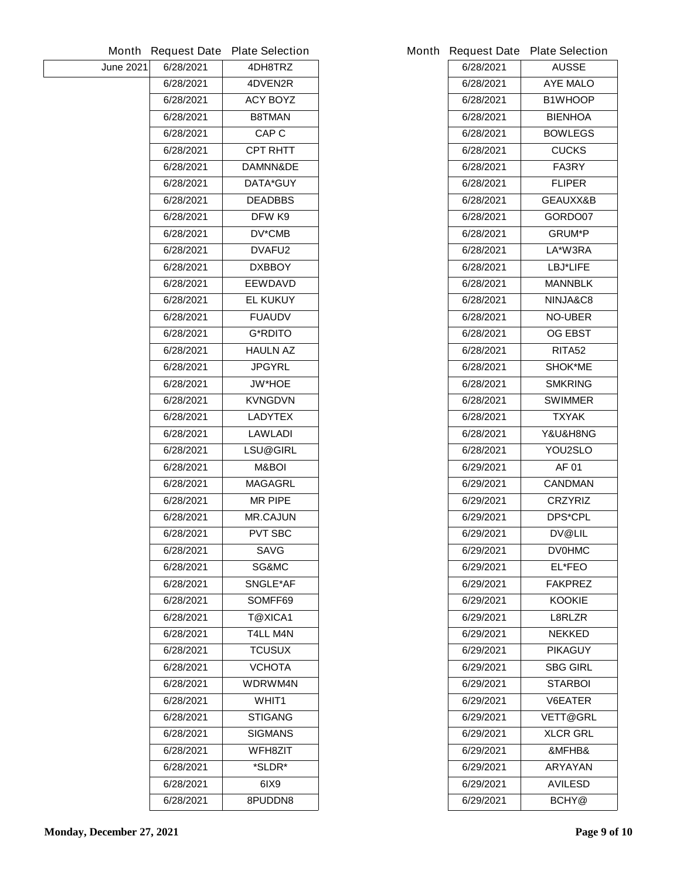|                  | <b>Month Request Date</b> | <b>Plate Selection</b> |           | Month Request Date Plate Selection |
|------------------|---------------------------|------------------------|-----------|------------------------------------|
| <b>June 2021</b> | 6/28/2021                 | 4DH8TRZ                | 6/28/2021 | <b>AUSSE</b>                       |
|                  | 6/28/2021                 | 4DVEN2R                | 6/28/2021 | <b>AYE MALO</b>                    |
|                  | 6/28/2021                 | <b>ACY BOYZ</b>        | 6/28/2021 | <b>B1WHOOP</b>                     |
|                  | 6/28/2021                 | <b>B8TMAN</b>          | 6/28/2021 | <b>BIENHOA</b>                     |
|                  | 6/28/2021                 | <b>CAP C</b>           | 6/28/2021 | <b>BOWLEGS</b>                     |
|                  | 6/28/2021                 | <b>CPT RHTT</b>        | 6/28/2021 | <b>CUCKS</b>                       |
|                  | 6/28/2021                 | DAMNN&DE               | 6/28/2021 | FA3RY                              |
|                  | 6/28/2021                 | <b>DATA*GUY</b>        | 6/28/2021 | <b>FLIPER</b>                      |
|                  | 6/28/2021                 | <b>DEADBBS</b>         | 6/28/2021 | GEAUXX&B                           |
|                  | 6/28/2021                 | DFW K9                 | 6/28/2021 | GORDO07                            |
|                  | 6/28/2021                 | <b>DV*CMB</b>          | 6/28/2021 | <b>GRUM*P</b>                      |
|                  | 6/28/2021                 | DVAFU2                 | 6/28/2021 | LA*W3RA                            |
|                  | 6/28/2021                 | <b>DXBBOY</b>          | 6/28/2021 | LBJ*LIFE                           |
|                  | 6/28/2021                 | <b>EEWDAVD</b>         | 6/28/2021 | <b>MANNBLK</b>                     |
|                  | 6/28/2021                 | <b>EL KUKUY</b>        | 6/28/2021 | NINJA&C8                           |
|                  | 6/28/2021                 | <b>FUAUDV</b>          | 6/28/2021 | <b>NO-UBER</b>                     |
|                  | 6/28/2021                 | <b>G*RDITO</b>         | 6/28/2021 | <b>OG EBST</b>                     |
|                  | 6/28/2021                 | <b>HAULN AZ</b>        | 6/28/2021 | <b>RITA52</b>                      |
|                  | 6/28/2021                 | <b>JPGYRL</b>          | 6/28/2021 | <b>SHOK*ME</b>                     |
|                  | 6/28/2021                 | <b>JW*HOE</b>          | 6/28/2021 | <b>SMKRING</b>                     |
|                  | 6/28/2021                 | <b>KVNGDVN</b>         | 6/28/2021 | <b>SWIMMER</b>                     |
|                  | 6/28/2021                 | <b>LADYTEX</b>         | 6/28/2021 | <b>TXYAK</b>                       |
|                  | 6/28/2021                 | <b>LAWLADI</b>         | 6/28/2021 | Y&U&H8NG                           |
|                  | 6/28/2021                 | <b>LSU@GIRL</b>        | 6/28/2021 | YOU2SLO                            |
|                  | 6/28/2021                 | M&BOI                  | 6/29/2021 | <b>AF 01</b>                       |
|                  | 6/28/2021                 | <b>MAGAGRL</b>         | 6/29/2021 | <b>CANDMAN</b>                     |
|                  | 6/28/2021                 | <b>MR PIPE</b>         | 6/29/2021 | <b>CRZYRIZ</b>                     |
|                  | 6/28/2021                 | <b>MR.CAJUN</b>        | 6/29/2021 | <b>DPS*CPL</b>                     |
|                  | 6/28/2021                 | <b>PVT SBC</b>         | 6/29/2021 | <b>DV@LIL</b>                      |
|                  | 6/28/2021                 | <b>SAVG</b>            | 6/29/2021 | <b>DV0HMC</b>                      |
|                  | 6/28/2021                 | SG&MC                  | 6/29/2021 | EL*FEO                             |
|                  | 6/28/2021                 | <b>SNGLE*AF</b>        | 6/29/2021 | <b>FAKPREZ</b>                     |
|                  | 6/28/2021                 | SOMFF69                | 6/29/2021 | <b>KOOKIE</b>                      |
|                  | 6/28/2021                 | <b>T@XICA1</b>         | 6/29/2021 | L8RLZR                             |
|                  | 6/28/2021                 | <b>T4LL M4N</b>        | 6/29/2021 | <b>NEKKED</b>                      |
|                  | 6/28/2021                 | <b>TCUSUX</b>          | 6/29/2021 | <b>PIKAGUY</b>                     |
|                  | 6/28/2021                 | <b>VCHOTA</b>          | 6/29/2021 | <b>SBG GIRL</b>                    |
|                  | 6/28/2021                 | <b>WDRWM4N</b>         | 6/29/2021 | <b>STARBOI</b>                     |
|                  | 6/28/2021                 | WHIT1                  | 6/29/2021 | <b>V6EATER</b>                     |
|                  | 6/28/2021                 | <b>STIGANG</b>         | 6/29/2021 | <b>VETT@GRL</b>                    |
|                  | 6/28/2021                 | <b>SIGMANS</b>         | 6/29/2021 | <b>XLCR GRL</b>                    |
|                  | 6/28/2021                 | <b>WFH8ZIT</b>         | 6/29/2021 | &MFHB&                             |
|                  | 6/28/2021                 | *SLDR*                 | 6/29/2021 | <b>ARYAYAN</b>                     |
|                  | 6/28/2021                 | 6IX9                   | 6/29/2021 | <b>AVILESD</b>                     |
|                  | 6/28/2021                 | 8PUDDN8                | 6/29/2021 | <b>BCHY</b> <sup>@</sup>           |
|                  |                           |                        |           |                                    |

| 6/28/2021 | <b>SIGMANS</b> | 6/29/2021 | <b>XLCR GRL</b> |
|-----------|----------------|-----------|-----------------|
| 6/28/2021 | <b>WFH8ZIT</b> | 6/29/2021 | &MFHB&          |
| 6/28/2021 | *SLDR*         | 6/29/2021 | <b>ARYAYAN</b>  |
| 6/28/2021 | 6IX9           | 6/29/2021 | <b>AVILESD</b>  |
| 6/28/2021 | 8PUDDN8        | 6/29/2021 | <b>BCHY@</b>    |

|           | <b>Request Date Plate Selection</b> |
|-----------|-------------------------------------|
| 6/28/2021 | <b>AUSSE</b>                        |
| 6/28/2021 | <b>AYE MALO</b>                     |
| 6/28/2021 | <b>B1WHOOP</b>                      |
| 6/28/2021 | <b>BIENHOA</b>                      |
| 6/28/2021 | <b>BOWLEGS</b>                      |
| 6/28/2021 | <b>CUCKS</b>                        |
| 6/28/2021 | <b>FA3RY</b>                        |
| 6/28/2021 | <b>FLIPER</b>                       |
| 6/28/2021 | <b>GEAUXX&amp;B</b>                 |
| 6/28/2021 | <b>GORDO07</b>                      |
| 6/28/2021 | <b>GRUM*P</b>                       |
| 6/28/2021 | LA*W3RA                             |
| 6/28/2021 | LBJ*LIFE                            |
| 6/28/2021 | <b>MANNBLK</b>                      |
| 6/28/2021 | <b>NINJA&amp;C8</b>                 |
| 6/28/2021 | <b>NO-UBER</b>                      |
| 6/28/2021 | OG EBST                             |
| 6/28/2021 | RITA52                              |
| 6/28/2021 | <b>SHOK*ME</b>                      |
| 6/28/2021 | <b>SMKRING</b>                      |
| 6/28/2021 | <b>SWIMMER</b>                      |
| 6/28/2021 | TXYAK                               |
| 6/28/2021 | <b>Y&amp;U&amp;H8NG</b>             |
| 6/28/2021 | <b>YOU2SLO</b>                      |
| 6/29/2021 | AF 01                               |
| 6/29/2021 | <b>CANDMAN</b>                      |
| 6/29/2021 | <b>CRZYRIZ</b>                      |
| 6/29/2021 | <b>DPS*CPL</b>                      |
| 6/29/2021 | <b>DV@LIL</b>                       |
| 6/29/2021 | <b>DV0HMC</b>                       |
| 6/29/2021 | <b>EL*FEO</b>                       |
| 6/29/2021 | <b>FAKPREZ</b>                      |
| 6/29/2021 | KOOKIE                              |
| 6/29/2021 | <b>L8RLZR</b>                       |
| 6/29/2021 | <b>NEKKED</b>                       |
| 6/29/2021 | <b>PIKAGUY</b>                      |
| 6/29/2021 | SBG GIRL                            |
| 6/29/2021 | STARBOI                             |
| 6/29/2021 | <b>V6EATER</b>                      |
| 6/29/2021 | <b>VETT@GRL</b>                     |
| 6/29/2021 | <b>XLCR GRL</b>                     |
| 6/29/2021 | &MFHB&                              |
| 6/29/2021 | <b>ARYAYAN</b>                      |
| 6/29/2021 | <b>AVILESD</b>                      |
| 6/29/2021 | <b>BCHY@</b>                        |
|           |                                     |